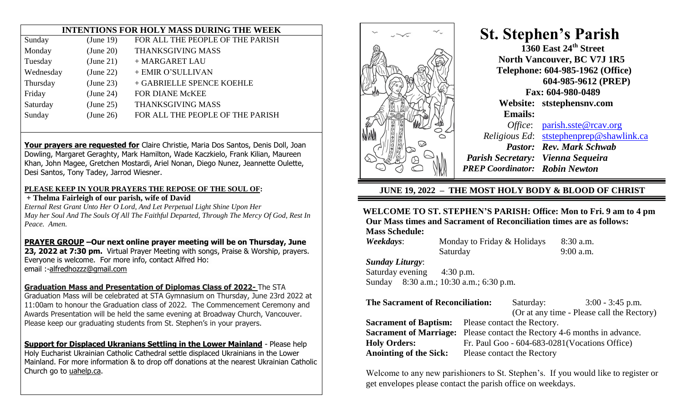## **INTENTIONS FOR HOLY MASS DURING THE WEEK**

| Sunday    | (June 19) | FOR ALL THE PEOPLE OF THE PARISH |
|-----------|-----------|----------------------------------|
| Monday    | (June 20) | THANKSGIVING MASS                |
| Tuesday   | (June 21) | + MARGARET LAU                   |
| Wednesday | (June 22) | + EMIR O'SULLIVAN                |
| Thursday  | (June 23) | + GABRIELLE SPENCE KOEHLE        |
| Friday    | (June 24) | <b>FOR DIANE McKEE</b>           |
| Saturday  | (June 25) | THANKSGIVING MASS                |
| Sunday    | (June 26) | FOR ALL THE PEOPLE OF THE PARISH |
|           |           |                                  |

**Your prayers are requested for** Claire Christie, Maria Dos Santos, Denis Doll, Joan Dowling, Margaret Geraghty, Mark Hamilton, Wade Kaczkielo, Frank Kilian, Maureen Khan, John Magee, Gretchen Mostardi, Ariel Nonan, Diego Nunez, Jeannette Oulette, Desi Santos, Tony Tadey, Jarrod Wiesner.

#### **PLEASE KEEP IN YOUR PRAYERS THE REPOSE OF THE SOUL OF:**

**+ Thelma Fairleigh of our parish, wife of David**

*Eternal Rest Grant Unto Her O Lord, And Let Perpetual Light Shine Upon Her May her Soul And The Souls Of All The Faithful Departed, Through The Mercy Of God, Rest In Peace. Amen.*

**PRAYER GROUP –Our next online prayer meeting will be on Thursday, June 23, 2022 at 7:30 pm.** Virtual Prayer Meeting with songs, Praise & Worship, prayers. Everyone is welcome. For more info, contact Alfred Ho: email :[-alfredhozzz@gmail.com](mailto:alfredhozzz@gmail.com)

### **Graduation Mass and Presentation of Diplomas Class of 2022-** The STA

Graduation Mass will be celebrated at STA Gymnasium on Thursday, June 23rd 2022 at 11:00am to honour the Graduation class of 2022. The Commencement Ceremony and Awards Presentation will be held the same evening at Broadway Church, Vancouver. Please keep our graduating students from St. Stephen's in your prayers.

**Support for Displaced Ukranians Settling in the Lower Mainland** - Please help Holy Eucharist Ukrainian Catholic Cathedral settle displaced Ukrainians in the Lower Mainland. For more information & to drop off donations at the nearest Ukrainian Catholic Church go to [uahelp.ca.](https://www2.rcav.org/e/897551/2022-06-14/3fy3vm/760913316?h=IrPn8wCX9TbVfOSCbHzNGlgPh34U9_PwPS-rpFKqyPs)



# **St. Stephen's Parish 1360 East 24th Street North Vancouver, BC V7J 1R5 Telephone: 604-985-1962 (Office) 604-985-9612 (PREP) Fax: 604-980-0489 Website: ststephensnv.com Emails:** *Office*: [parish.sste@rcav.org](about:blank) *Religious Ed*: [ststephenprep@shawlink.ca](about:blank) *Pastor: Rev. Mark Schwab Parish Secretary: Vienna Sequeira PREP Coordinator: Robin Newton*

# **JUNE 19, 2022 – THE MOST HOLY BODY & BLOOD OF CHRIST**

#### **WELCOME TO ST. STEPHEN'S PARISH: Office: Mon to Fri. 9 am to 4 pm Our Mass times and Sacrament of Reconciliation times are as follows: Mass Schedule:**

*Weekdays:* Monday to Friday & Holidays 8:30 a.m. Saturday 9:00 a.m. *Sunday Liturgy*: Saturday evening 4:30 p.m. Sunday 8:30 a.m.; 10:30 a.m.; 6:30 p.m.

| <b>The Sacrament of Reconciliation:</b> |                                                                                 | Saturday:                  | $3:00 - 3:45$ p.m.                               |  |
|-----------------------------------------|---------------------------------------------------------------------------------|----------------------------|--------------------------------------------------|--|
|                                         |                                                                                 |                            | (Or at any time - Please call the Rectory)       |  |
|                                         | <b>Sacrament of Baptism:</b> Please contact the Rectory.                        |                            |                                                  |  |
|                                         | <b>Sacrament of Marriage:</b> Please contact the Rectory 4-6 months in advance. |                            |                                                  |  |
| <b>Holy Orders:</b>                     |                                                                                 |                            | Fr. Paul Goo - $604-683-0281$ (Vocations Office) |  |
| <b>Anointing of the Sick:</b>           |                                                                                 | Please contact the Rectory |                                                  |  |

Welcome to any new parishioners to St. Stephen's. If you would like to register or get envelopes please contact the parish office on weekdays.